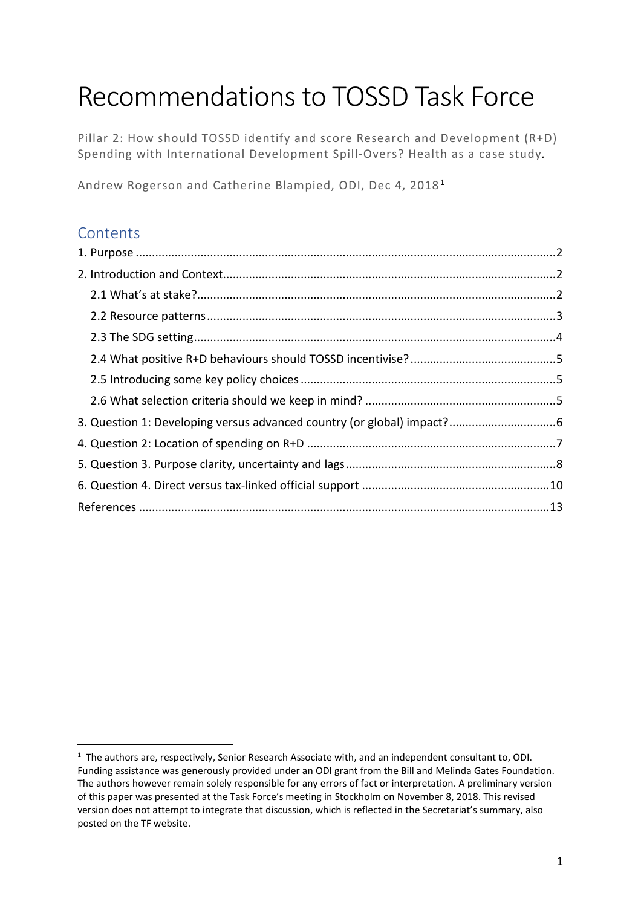# Recommendations to TOSSD Task Force

Pillar 2: How should TOSSD identify and score Research and Development (R+D) Spending with International Development Spill-Overs? Health as a case study*.*

Andrew Rogerson and Catherine Blampied, ODI, Dec 4, 2018[1](#page-0-0)

# **Contents**

<span id="page-0-0"></span> $\overline{1}$ <sup>1</sup> The authors are, respectively, Senior Research Associate with, and an independent consultant to, ODI. Funding assistance was generously provided under an ODI grant from the Bill and Melinda Gates Foundation. The authors however remain solely responsible for any errors of fact or interpretation. A preliminary version of this paper was presented at the Task Force's meeting in Stockholm on November 8, 2018. This revised version does not attempt to integrate that discussion, which is reflected in the Secretariat's summary, also posted on the TF website.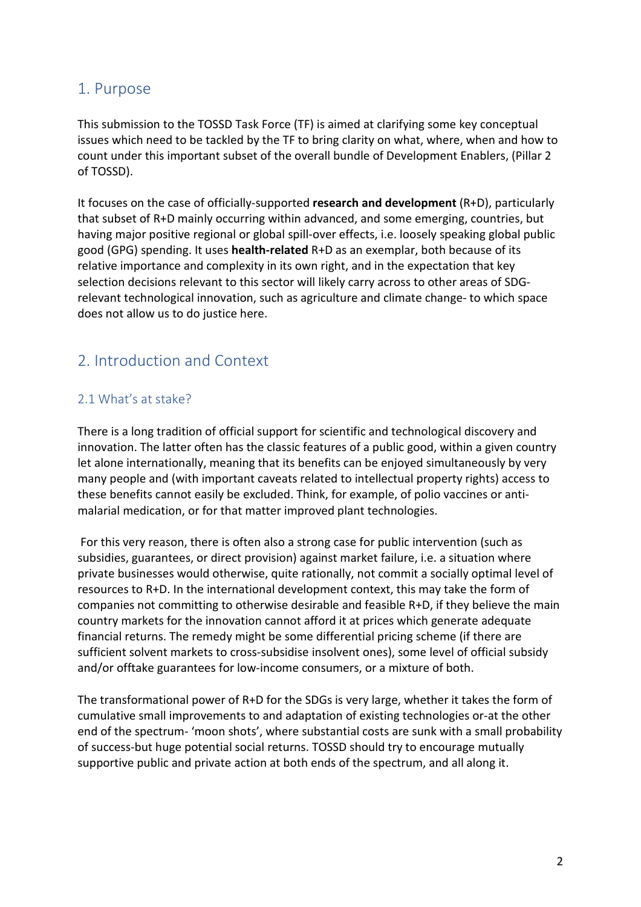## <span id="page-1-0"></span>1. Purpose

This submission to the TOSSD Task Force (TF) is aimed at clarifying some key conceptual issues which need to be tackled by the TF to bring clarity on what, where, when and how to count under this important subset of the overall bundle of Development Enablers, (Pillar 2 of TOSSD).

It focuses on the case of officially-supported **research and development** (R+D), particularly that subset of R+D mainly occurring within advanced, and some emerging, countries, but having major positive regional or global spill-over effects, i.e. loosely speaking global public good (GPG) spending. It uses **health-related** R+D as an exemplar, both because of its relative importance and complexity in its own right, and in the expectation that key selection decisions relevant to this sector will likely carry across to other areas of SDGrelevant technological innovation, such as agriculture and climate change- to which space does not allow us to do justice here.

# <span id="page-1-1"></span>2. Introduction and Context

#### <span id="page-1-2"></span>2.1 What's at stake?

There is a long tradition of official support for scientific and technological discovery and innovation. The latter often has the classic features of a public good, within a given country let alone internationally, meaning that its benefits can be enjoyed simultaneously by very many people and (with important caveats related to intellectual property rights) access to these benefits cannot easily be excluded. Think, for example, of polio vaccines or antimalarial medication, or for that matter improved plant technologies.

For this very reason, there is often also a strong case for public intervention (such as subsidies, guarantees, or direct provision) against market failure, i.e. a situation where private businesses would otherwise, quite rationally, not commit a socially optimal level of resources to R+D. In the international development context, this may take the form of companies not committing to otherwise desirable and feasible R+D, if they believe the main country markets for the innovation cannot afford it at prices which generate adequate financial returns. The remedy might be some differential pricing scheme (if there are sufficient solvent markets to cross-subsidise insolvent ones), some level of official subsidy and/or offtake guarantees for low-income consumers, or a mixture of both.

The transformational power of R+D for the SDGs is very large, whether it takes the form of cumulative small improvements to and adaptation of existing technologies or-at the other end of the spectrum- 'moon shots', where substantial costs are sunk with a small probability of success-but huge potential social returns. TOSSD should try to encourage mutually supportive public and private action at both ends of the spectrum, and all along it.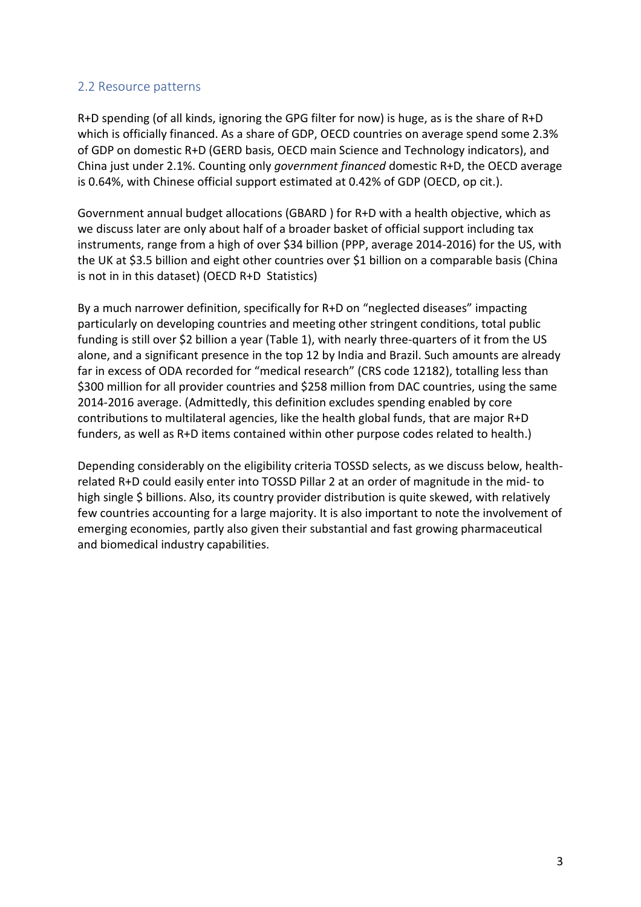#### <span id="page-2-0"></span>2.2 Resource patterns

R+D spending (of all kinds, ignoring the GPG filter for now) is huge, as is the share of R+D which is officially financed. As a share of GDP, OECD countries on average spend some 2.3% of GDP on domestic R+D (GERD basis, OECD main Science and Technology indicators), and China just under 2.1%. Counting only *government financed* domestic R+D, the OECD average is 0.64%, with Chinese official support estimated at 0.42% of GDP (OECD, op cit.).

Government annual budget allocations (GBARD ) for R+D with a health objective, which as we discuss later are only about half of a broader basket of official support including tax instruments, range from a high of over \$34 billion (PPP, average 2014-2016) for the US, with the UK at \$3.5 billion and eight other countries over \$1 billion on a comparable basis (China is not in in this dataset) (OECD R+D Statistics)

By a much narrower definition, specifically for R+D on "neglected diseases" impacting particularly on developing countries and meeting other stringent conditions, total public funding is still over \$2 billion a year (Table 1), with nearly three-quarters of it from the US alone, and a significant presence in the top 12 by India and Brazil. Such amounts are already far in excess of ODA recorded for "medical research" (CRS code 12182), totalling less than \$300 million for all provider countries and \$258 million from DAC countries, using the same 2014-2016 average. (Admittedly, this definition excludes spending enabled by core contributions to multilateral agencies, like the health global funds, that are major R+D funders, as well as R+D items contained within other purpose codes related to health.)

Depending considerably on the eligibility criteria TOSSD selects, as we discuss below, healthrelated R+D could easily enter into TOSSD Pillar 2 at an order of magnitude in the mid- to high single \$ billions. Also, its country provider distribution is quite skewed, with relatively few countries accounting for a large majority. It is also important to note the involvement of emerging economies, partly also given their substantial and fast growing pharmaceutical and biomedical industry capabilities.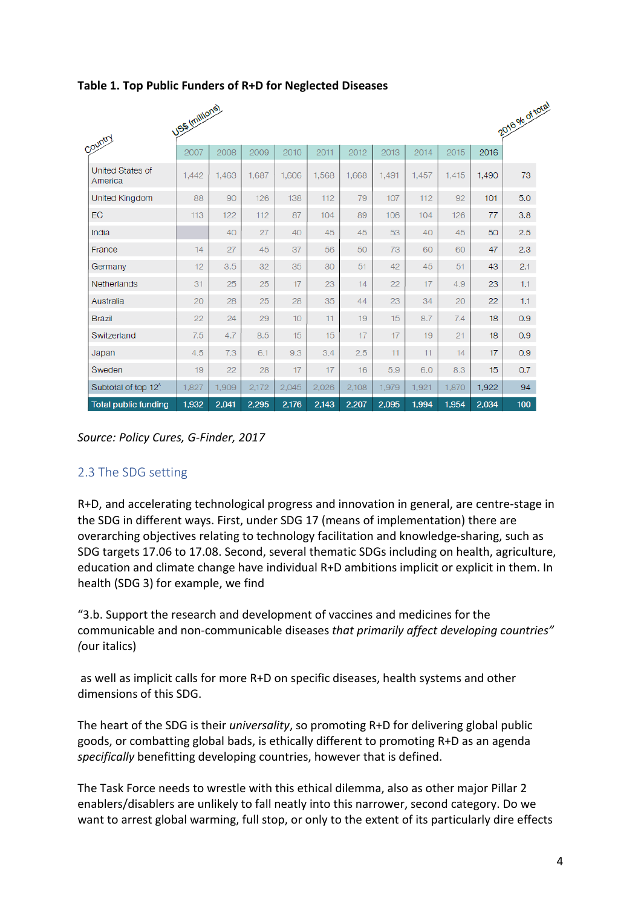|                                    | USS (millions) |       |       |       |       |       |       |       |       |       | 2016 % of total  |
|------------------------------------|----------------|-------|-------|-------|-------|-------|-------|-------|-------|-------|------------------|
| Country                            | 2007           | 2008  | 2009  | 2010  | 2011  | 2012  | 2013  | 2014  | 2015  | 2016  |                  |
| <b>United States of</b><br>America | 1,442          | 1,463 | 1,687 | 1,606 | 1,568 | 1,668 | 1,491 | 1,457 | 1,415 | 1,490 | 73               |
| United Kingdom                     | 88             | 90    | 126   | 138   | 112   | 79    | 107   | 112   | 92    | 101   | 5.0              |
| <b>EC</b>                          | 113            | 122   | 112   | 87    | 104   | 89    | 106   | 104   | 126   | 77    | 3.8              |
| India                              |                | 40    | 27    | 40    | 45    | 45    | 53    | 40    | 45    | 50    | 2.5              |
| France                             | 14             | 27    | 45    | 37    | 56    | 50    | 73    | 60    | 60    | 47    | 2.3              |
| Germany                            | 12             | 3.5   | 32    | 35    | 30    | 51    | 42    | 45    | 51    | 43    | 2.1              |
| Netherlands                        | 31             | 25    | 25    | 17    | 23    | 14    | 22    | 17    | 4.9   | 23    | 1.1 <sub>1</sub> |
| Australia                          | 20             | 28    | 25    | 28    | 35    | 44    | 23    | 34    | 20    | 22    | 1.1 <sub>1</sub> |
| <b>Brazil</b>                      | 22             | 24    | 29    | 10    | 11    | 19    | 15    | 8.7   | 7.4   | 18    | 0.9              |
| Switzerland                        | 7.5            | 4.7   | 8.5   | 15    | 15    | 17    | 17    | 19    | 21    | 18    | 0.9              |
| Japan                              | 4.5            | 7.3   | 6.1   | 9.3   | 3.4   | 2.5   | 11    | 11    | 14    | 17    | 0.9              |
| Sweden                             | 19             | 22    | 28    | 17    | 17    | 16    | 5.9   | 6.0   | 8.3   | 15    | 0.7              |
| Subtotal of top 12 <sup>^</sup>    | 1,827          | 1,909 | 2,172 | 2,045 | 2,026 | 2,108 | 1,979 | 1,921 | 1,870 | 1,922 | 94               |
| <b>Total public funding</b>        | 1,932          | 2,041 | 2,295 | 2,176 | 2,143 | 2,207 | 2,095 | 1,994 | 1,954 | 2,034 | 100              |

#### **Table 1. Top Public Funders of R+D for Neglected Diseases**

*Source: Policy Cures, G-Finder, 2017*

#### <span id="page-3-0"></span>2.3 The SDG setting

R+D, and accelerating technological progress and innovation in general, are centre-stage in the SDG in different ways. First, under SDG 17 (means of implementation) there are overarching objectives relating to technology facilitation and knowledge-sharing, such as SDG targets 17.06 to 17.08. Second, several thematic SDGs including on health, agriculture, education and climate change have individual R+D ambitions implicit or explicit in them. In health (SDG 3) for example, we find

"3.b. Support the research and development of vaccines and medicines for the communicable and non-communicable diseases *that primarily affect developing countries" (*our italics)

as well as implicit calls for more R+D on specific diseases, health systems and other dimensions of this SDG.

The heart of the SDG is their *universality*, so promoting R+D for delivering global public goods, or combatting global bads, is ethically different to promoting R+D as an agenda *specifically* benefitting developing countries, however that is defined.

The Task Force needs to wrestle with this ethical dilemma, also as other major Pillar 2 enablers/disablers are unlikely to fall neatly into this narrower, second category. Do we want to arrest global warming, full stop, or only to the extent of its particularly dire effects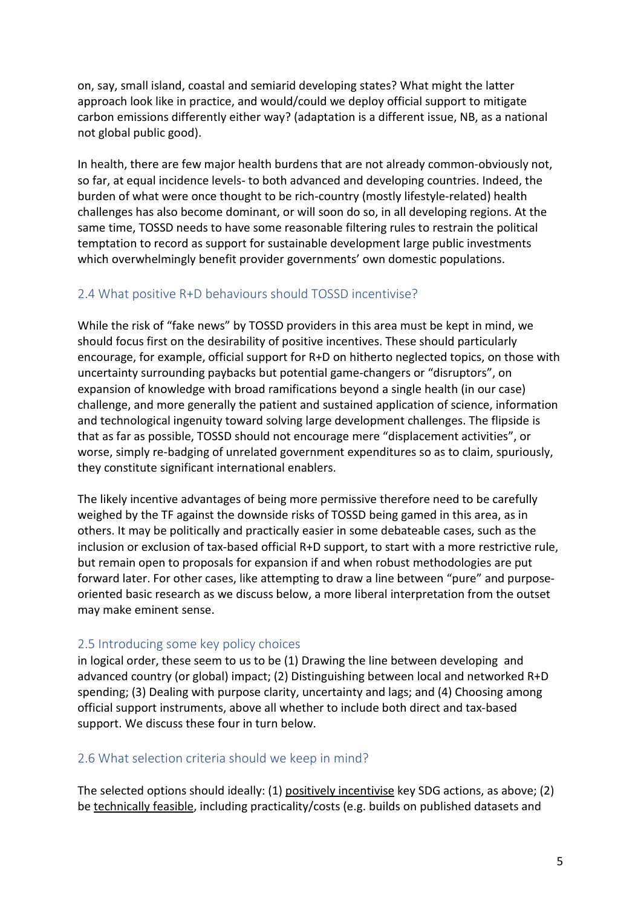on, say, small island, coastal and semiarid developing states? What might the latter approach look like in practice, and would/could we deploy official support to mitigate carbon emissions differently either way? (adaptation is a different issue, NB, as a national not global public good).

In health, there are few major health burdens that are not already common-obviously not, so far, at equal incidence levels- to both advanced and developing countries. Indeed, the burden of what were once thought to be rich-country (mostly lifestyle-related) health challenges has also become dominant, or will soon do so, in all developing regions. At the same time, TOSSD needs to have some reasonable filtering rules to restrain the political temptation to record as support for sustainable development large public investments which overwhelmingly benefit provider governments' own domestic populations.

#### <span id="page-4-0"></span>2.4 What positive R+D behaviours should TOSSD incentivise?

While the risk of "fake news" by TOSSD providers in this area must be kept in mind, we should focus first on the desirability of positive incentives. These should particularly encourage, for example, official support for R+D on hitherto neglected topics, on those with uncertainty surrounding paybacks but potential game-changers or "disruptors", on expansion of knowledge with broad ramifications beyond a single health (in our case) challenge, and more generally the patient and sustained application of science, information and technological ingenuity toward solving large development challenges. The flipside is that as far as possible, TOSSD should not encourage mere "displacement activities", or worse, simply re-badging of unrelated government expenditures so as to claim, spuriously, they constitute significant international enablers.

The likely incentive advantages of being more permissive therefore need to be carefully weighed by the TF against the downside risks of TOSSD being gamed in this area, as in others. It may be politically and practically easier in some debateable cases, such as the inclusion or exclusion of tax-based official R+D support, to start with a more restrictive rule, but remain open to proposals for expansion if and when robust methodologies are put forward later. For other cases, like attempting to draw a line between "pure" and purposeoriented basic research as we discuss below, a more liberal interpretation from the outset may make eminent sense.

#### <span id="page-4-1"></span>2.5 Introducing some key policy choices

in logical order, these seem to us to be (1) Drawing the line between developing and advanced country (or global) impact; (2) Distinguishing between local and networked R+D spending; (3) Dealing with purpose clarity, uncertainty and lags; and (4) Choosing among official support instruments, above all whether to include both direct and tax-based support. We discuss these four in turn below.

#### <span id="page-4-2"></span>2.6 What selection criteria should we keep in mind?

The selected options should ideally: (1) positively incentivise key SDG actions, as above; (2) be technically feasible, including practicality/costs (e.g. builds on published datasets and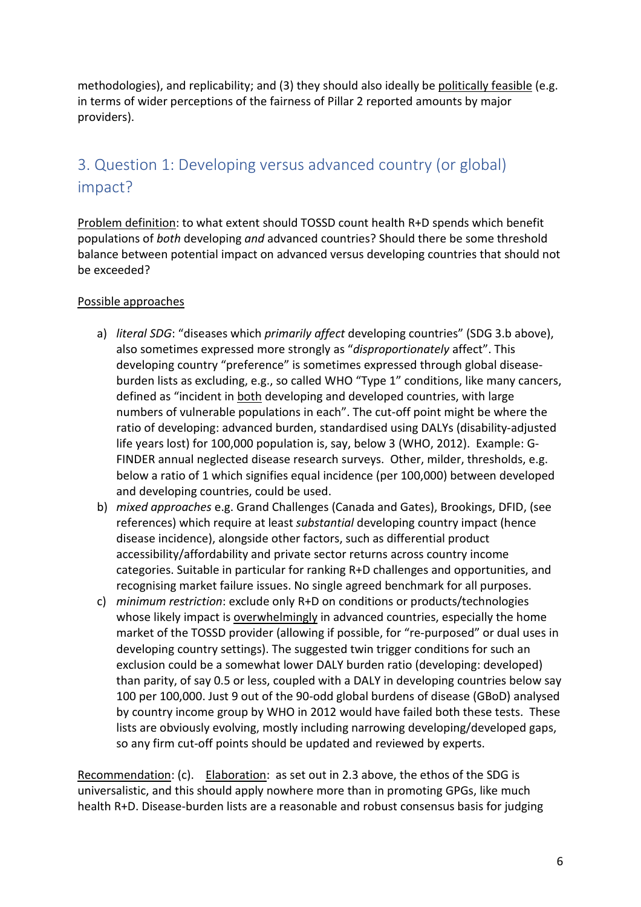methodologies), and replicability; and (3) they should also ideally be politically feasible (e.g. in terms of wider perceptions of the fairness of Pillar 2 reported amounts by major providers).

# <span id="page-5-0"></span>3. Question 1: Developing versus advanced country (or global) impact?

Problem definition: to what extent should TOSSD count health R+D spends which benefit populations of *both* developing *and* advanced countries? Should there be some threshold balance between potential impact on advanced versus developing countries that should not be exceeded?

#### Possible approaches

- a) *literal SDG*: "diseases which *primarily affect* developing countries" (SDG 3.b above), also sometimes expressed more strongly as "*disproportionately* affect". This developing country "preference" is sometimes expressed through global diseaseburden lists as excluding, e.g., so called WHO "Type 1" conditions, like many cancers, defined as "incident in both developing and developed countries, with large numbers of vulnerable populations in each". The cut-off point might be where the ratio of developing: advanced burden, standardised using DALYs (disability-adjusted life years lost) for 100,000 population is, say, below 3 (WHO, 2012). Example: G-FINDER annual neglected disease research surveys. Other, milder, thresholds, e.g. below a ratio of 1 which signifies equal incidence (per 100,000) between developed and developing countries, could be used.
- b) *mixed approaches* e.g. Grand Challenges (Canada and Gates), Brookings, DFID, (see references) which require at least *substantial* developing country impact (hence disease incidence), alongside other factors, such as differential product accessibility/affordability and private sector returns across country income categories. Suitable in particular for ranking R+D challenges and opportunities, and recognising market failure issues. No single agreed benchmark for all purposes.
- c) *minimum restriction*: exclude only R+D on conditions or products/technologies whose likely impact is overwhelmingly in advanced countries, especially the home market of the TOSSD provider (allowing if possible, for "re-purposed" or dual uses in developing country settings). The suggested twin trigger conditions for such an exclusion could be a somewhat lower DALY burden ratio (developing: developed) than parity, of say 0.5 or less, coupled with a DALY in developing countries below say 100 per 100,000. Just 9 out of the 90-odd global burdens of disease (GBoD) analysed by country income group by WHO in 2012 would have failed both these tests. These lists are obviously evolving, mostly including narrowing developing/developed gaps, so any firm cut-off points should be updated and reviewed by experts.

Recommendation: (c). Elaboration: as set out in 2.3 above, the ethos of the SDG is universalistic, and this should apply nowhere more than in promoting GPGs, like much health R+D. Disease-burden lists are a reasonable and robust consensus basis for judging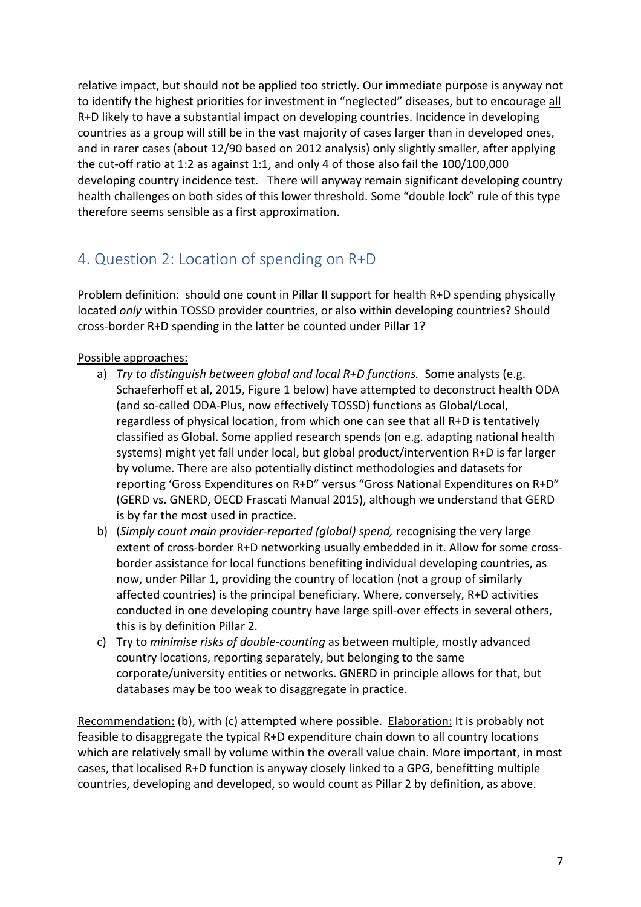relative impact, but should not be applied too strictly. Our immediate purpose is anyway not to identify the highest priorities for investment in "neglected" diseases, but to encourage all R+D likely to have a substantial impact on developing countries. Incidence in developing countries as a group will still be in the vast majority of cases larger than in developed ones, and in rarer cases (about 12/90 based on 2012 analysis) only slightly smaller, after applying the cut-off ratio at 1:2 as against 1:1, and only 4 of those also fail the 100/100,000 developing country incidence test. There will anyway remain significant developing country health challenges on both sides of this lower threshold. Some "double lock" rule of this type therefore seems sensible as a first approximation.

# <span id="page-6-0"></span>4. Question 2: Location of spending on R+D

Problem definition: should one count in Pillar II support for health R+D spending physically located *only* within TOSSD provider countries, or also within developing countries? Should cross-border R+D spending in the latter be counted under Pillar 1?

#### Possible approaches:

- a) *Try to distinguish between global and local R+D functions.* Some analysts (e.g. Schaeferhoff et al, 2015, Figure 1 below) have attempted to deconstruct health ODA (and so-called ODA-Plus, now effectively TOSSD) functions as Global/Local, regardless of physical location, from which one can see that all R+D is tentatively classified as Global. Some applied research spends (on e.g. adapting national health systems) might yet fall under local, but global product/intervention R+D is far larger by volume. There are also potentially distinct methodologies and datasets for reporting 'Gross Expenditures on R+D" versus "Gross National Expenditures on R+D" (GERD vs. GNERD, OECD Frascati Manual 2015), although we understand that GERD is by far the most used in practice.
- b) (*Simply count main provider-reported (global) spend,* recognising the very large extent of cross-border R+D networking usually embedded in it. Allow for some crossborder assistance for local functions benefiting individual developing countries, as now, under Pillar 1, providing the country of location (not a group of similarly affected countries) is the principal beneficiary. Where, conversely, R+D activities conducted in one developing country have large spill-over effects in several others, this is by definition Pillar 2.
- c) Try to *minimise risks of double-counting* as between multiple, mostly advanced country locations, reporting separately, but belonging to the same corporate/university entities or networks. GNERD in principle allows for that, but databases may be too weak to disaggregate in practice.

Recommendation: (b), with (c) attempted where possible. Elaboration: It is probably not feasible to disaggregate the typical R+D expenditure chain down to all country locations which are relatively small by volume within the overall value chain. More important, in most cases, that localised R+D function is anyway closely linked to a GPG, benefitting multiple countries, developing and developed, so would count as Pillar 2 by definition, as above.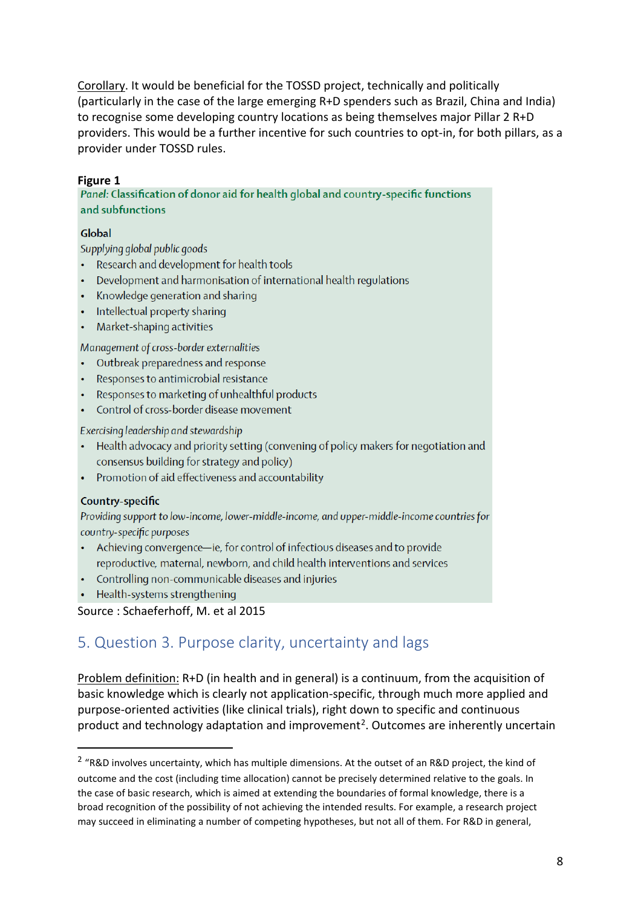Corollary. It would be beneficial for the TOSSD project, technically and politically (particularly in the case of the large emerging R+D spenders such as Brazil, China and India) to recognise some developing country locations as being themselves major Pillar 2 R+D providers. This would be a further incentive for such countries to opt-in, for both pillars, as a provider under TOSSD rules.

**Figure 1**<br>Panel: Classification of donor aid for health global and country-specific functions and subfunctions

#### Global

Supplying global public goods

- Research and development for health tools
- Development and harmonisation of international health regulations
- Knowledge generation and sharing
- Intellectual property sharing
- Market-shaping activities

Management of cross-border externalities

- Outbreak preparedness and response
- Responses to antimicrobial resistance
- Responses to marketing of unhealthful products
- Control of cross-border disease movement

#### Exercising leadership and stewardship

- Health advocacy and priority setting (convening of policy makers for negotiation and consensus building for strategy and policy)
- Promotion of aid effectiveness and accountability

#### Country-specific

Providing support to low-income, lower-middle-income, and upper-middle-income countries for country-specific purposes

- Achieving convergence-ie, for control of infectious diseases and to provide reproductive, maternal, newborn, and child health interventions and services
- Controlling non-communicable diseases and injuries
- Health-systems strengthening

<span id="page-7-0"></span>Source : Schaeferhoff, M. et al 2015

# 5. Question 3. Purpose clarity, uncertainty and lags

Problem definition: R+D (in health and in general) is a continuum, from the acquisition of basic knowledge which is clearly not application-specific, through much more applied and purpose-oriented activities (like clinical trials), right down to specific and continuous product and technology adaptation and improvement<sup>[2](#page-7-1)</sup>. Outcomes are inherently uncertain

<span id="page-7-1"></span><sup>&</sup>lt;sup>2</sup> "R&D involves uncertainty, which has multiple dimensions. At the outset of an R&D project, the kind of outcome and the cost (including time allocation) cannot be precisely determined relative to the goals. In the case of basic research, which is aimed at extending the boundaries of formal knowledge, there is a broad recognition of the possibility of not achieving the intended results. For example, a research project may succeed in eliminating a number of competing hypotheses, but not all of them. For R&D in general,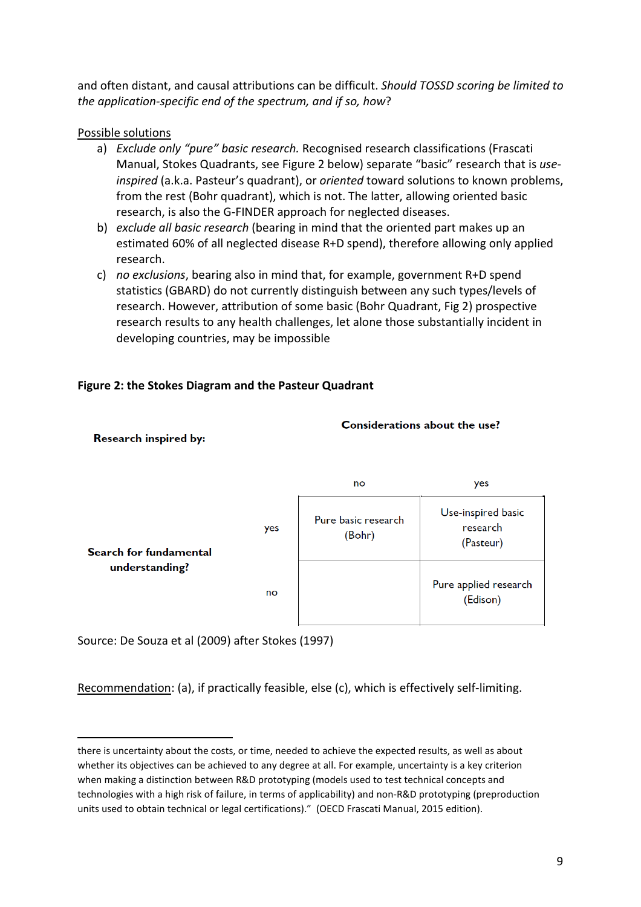and often distant, and causal attributions can be difficult. *Should TOSSD scoring be limited to the application-specific end of the spectrum, and if so, how*?

Possible solutions

- a) *Exclude only "pure" basic research.* Recognised research classifications (Frascati Manual, Stokes Quadrants, see Figure 2 below) separate "basic" research that is *useinspired* (a.k.a. Pasteur's quadrant), or *oriented* toward solutions to known problems, from the rest (Bohr quadrant), which is not. The latter, allowing oriented basic research, is also the G-FINDER approach for neglected diseases.
- b) *exclude all basic research* (bearing in mind that the oriented part makes up an estimated 60% of all neglected disease R+D spend), therefore allowing only applied research.
- c) *no exclusions*, bearing also in mind that, for example, government R+D spend statistics (GBARD) do not currently distinguish between any such types/levels of research. However, attribution of some basic (Bohr Quadrant, Fig 2) prospective research results to any health challenges, let alone those substantially incident in developing countries, may be impossible

Considerations about the use?

#### **Figure 2: the Stokes Diagram and the Pasteur Quadrant**



Research inspired by:

 $\overline{a}$ 

Source: De Souza et al (2009) after Stokes (1997)

Recommendation: (a), if practically feasible, else (c), which is effectively self-limiting.

there is uncertainty about the costs, or time, needed to achieve the expected results, as well as about whether its objectives can be achieved to any degree at all. For example, uncertainty is a key criterion when making a distinction between R&D prototyping (models used to test technical concepts and technologies with a high risk of failure, in terms of applicability) and non-R&D prototyping (preproduction units used to obtain technical or legal certifications)." (OECD Frascati Manual, 2015 edition).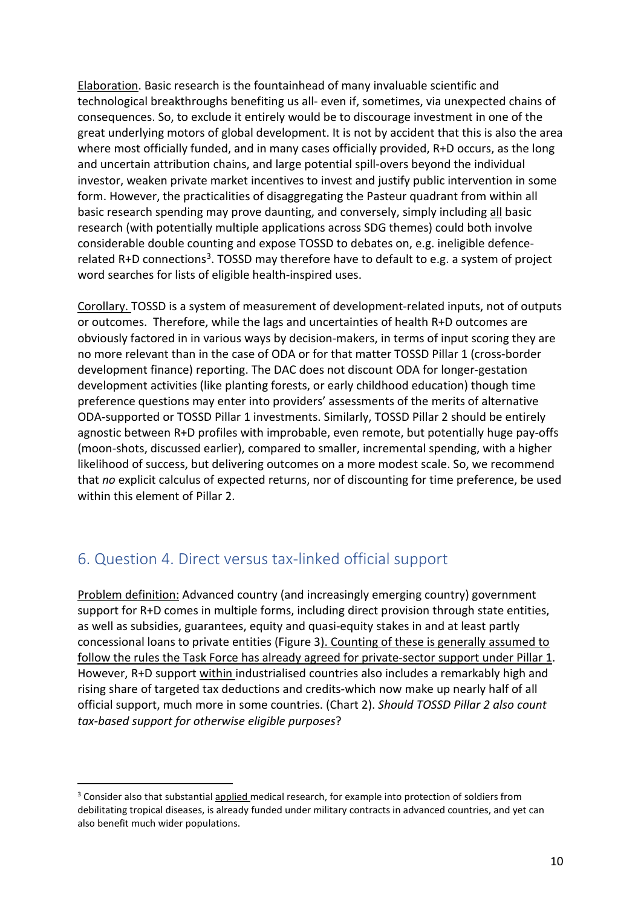Elaboration. Basic research is the fountainhead of many invaluable scientific and technological breakthroughs benefiting us all- even if, sometimes, via unexpected chains of consequences. So, to exclude it entirely would be to discourage investment in one of the great underlying motors of global development. It is not by accident that this is also the area where most officially funded, and in many cases officially provided, R+D occurs, as the long and uncertain attribution chains, and large potential spill-overs beyond the individual investor, weaken private market incentives to invest and justify public intervention in some form. However, the practicalities of disaggregating the Pasteur quadrant from within all basic research spending may prove daunting, and conversely, simply including all basic research (with potentially multiple applications across SDG themes) could both involve considerable double counting and expose TOSSD to debates on, e.g. ineligible defencerelated R+D connections<sup>3</sup>. TOSSD may therefore have to default to e.g. a system of project word searches for lists of eligible health-inspired uses.

Corollary. TOSSD is a system of measurement of development-related inputs, not of outputs or outcomes. Therefore, while the lags and uncertainties of health R+D outcomes are obviously factored in in various ways by decision-makers, in terms of input scoring they are no more relevant than in the case of ODA or for that matter TOSSD Pillar 1 (cross-border development finance) reporting. The DAC does not discount ODA for longer-gestation development activities (like planting forests, or early childhood education) though time preference questions may enter into providers' assessments of the merits of alternative ODA-supported or TOSSD Pillar 1 investments. Similarly, TOSSD Pillar 2 should be entirely agnostic between R+D profiles with improbable, even remote, but potentially huge pay-offs (moon-shots, discussed earlier), compared to smaller, incremental spending, with a higher likelihood of success, but delivering outcomes on a more modest scale. So, we recommend that *no* explicit calculus of expected returns, nor of discounting for time preference, be used within this element of Pillar 2.

# <span id="page-9-0"></span>6. Question 4. Direct versus tax-linked official support

Problem definition: Advanced country (and increasingly emerging country) government support for R+D comes in multiple forms, including direct provision through state entities, as well as subsidies, guarantees, equity and quasi-equity stakes in and at least partly concessional loans to private entities (Figure 3). Counting of these is generally assumed to follow the rules the Task Force has already agreed for private-sector support under Pillar 1. However, R+D support within industrialised countries also includes a remarkably high and rising share of targeted tax deductions and credits-which now make up nearly half of all official support, much more in some countries. (Chart 2). *Should TOSSD Pillar 2 also count tax-based support for otherwise eligible purposes*?

<span id="page-9-1"></span><sup>&</sup>lt;sup>3</sup> Consider also that substantial applied medical research, for example into protection of soldiers from debilitating tropical diseases, is already funded under military contracts in advanced countries, and yet can also benefit much wider populations.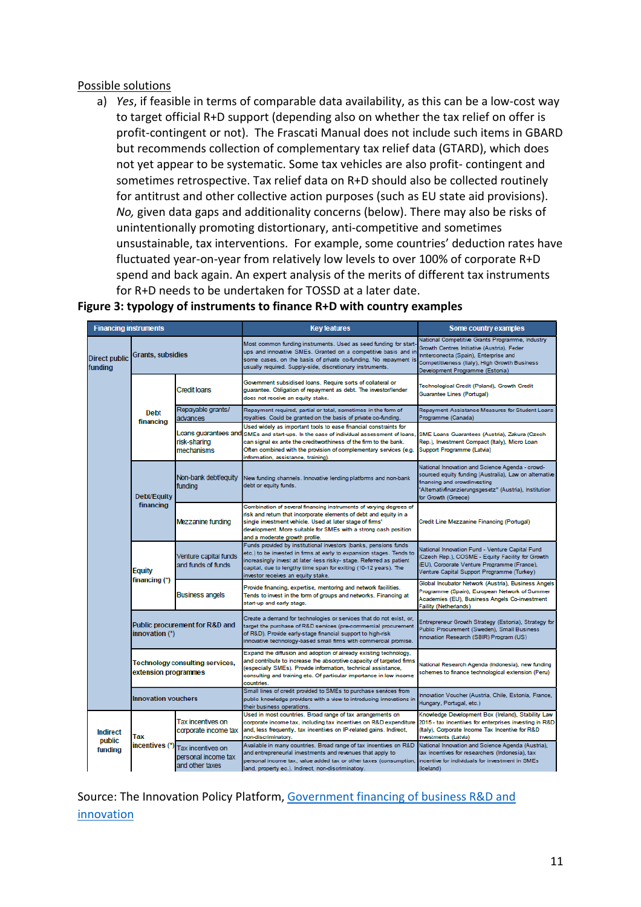#### Possible solutions

a) *Yes*, if feasible in terms of comparable data availability, as this can be a low-cost way to target official R+D support (depending also on whether the tax relief on offer is profit-contingent or not). The Frascati Manual does not include such items in GBARD but recommends collection of complementary tax relief data (GTARD), which does not yet appear to be systematic. Some tax vehicles are also profit- contingent and sometimes retrospective. Tax relief data on R+D should also be collected routinely for antitrust and other collective action purposes (such as EU state aid provisions). *No,* given data gaps and additionality concerns (below). There may also be risks of unintentionally promoting distortionary, anti-competitive and sometimes unsustainable, tax interventions. For example, some countries' deduction rates have fluctuated year-on-year from relatively low levels to over 100% of corporate R+D spend and back again. An expert analysis of the merits of different tax instruments for R+D needs to be undertaken for TOSSD at a later date.

| <b>Financing instruments</b>         |                                                                                |                                                             | <b>Key features</b>                                                                                                                                                                                                                                                                                                       | Some country examples                                                                                                                                                                                                      |  |  |
|--------------------------------------|--------------------------------------------------------------------------------|-------------------------------------------------------------|---------------------------------------------------------------------------------------------------------------------------------------------------------------------------------------------------------------------------------------------------------------------------------------------------------------------------|----------------------------------------------------------------------------------------------------------------------------------------------------------------------------------------------------------------------------|--|--|
| <b>Direct public</b><br>funding      | <b>Grants, subsidies</b>                                                       |                                                             | Most common funding instruments. Used as seed funding for start<br>ups and innovative SMEs. Granted on a competitive basis and in<br>some cases, on the basis of private co-funding. No repayment is<br>usually required. Supply-side, discretionary instruments.                                                         | National Competitive Grants Programme, Industry<br>Growth Centres Initiative (Austria), Feder<br>Innterconecta (Spain), Enterprise and<br>Competitiveness (Italy), High Growth Business<br>Development Programme (Estonia) |  |  |
|                                      |                                                                                | Credit Ioans                                                | Government subsidised loans. Require sorts of collateral or<br>guarantee. Obligation of repayment as debt. The investor/lender<br>does not receive an equity stake.                                                                                                                                                       | Technological Credit (Poland), Growth Credit<br>Guarantee Lines (Portugal)                                                                                                                                                 |  |  |
|                                      | <b>Debt</b><br>financing                                                       | Repayable grants/<br>advances                               | Repayment required, partial or total, sometimes in the form of<br>royalties. Could be granted on the basis of private co-funding.                                                                                                                                                                                         | Repayment Assistance Measures for Student Loans<br>Programme (Canada)                                                                                                                                                      |  |  |
|                                      |                                                                                | Loans guarantees and<br>risk-sharing<br>mechanisms          | Used widely as important tools to ease financial constraints for<br>SMEs and start-ups. In the case of individual assessment of loans.<br>can signal ex ante the creditworthiness of the firm to the bank.<br>Often combined with the provision of complementary services (e.g.<br>information, assistance, training).    | SME Loans Guarantees (Austria), Zakura (Czech<br>Rep.), Investment Compact (Italy), Micro Loan<br>Support Programme (Latvia)                                                                                               |  |  |
|                                      | Debt/Equity                                                                    | Non-bank debt/equity<br>funding                             | New funding channels. Innovative lending platforms and non-bank<br>debt or equity funds.                                                                                                                                                                                                                                  | National Innovation and Science Agenda - crowd-<br>sourced equity funding (Australia), Law on alternative<br>financing and crowdinvesting<br>"Alternativfinanzierungsgesetz" (Austria), Institution<br>for Growth (Greece) |  |  |
|                                      | financing                                                                      | Mezzanine funding                                           | Combination of several financing instruments of varying degrees of<br>risk and return that incorporate elements of debt and equity in a<br>single investment vehicle. Used at later stage of firms'<br>development. More suitable for SMEs with a strong cash position<br>and a moderate growth profile.                  | Credit Line Mezzanine Financing (Portugal)                                                                                                                                                                                 |  |  |
|                                      | Equity<br>financing (*)                                                        | Venture capital funds<br>and funds of funds                 | Funds provided by institutional investors (banks, pensions funds<br>etc.) to be invested in firms at early to expansion stages. Tends to<br>increasingly invest at later -less risky- stage. Referred as patient<br>capital, due to lengthy time span for exiting (10-12 years). The<br>nvestor receives an equity stake. | National Innovation Fund - Venture Capital Fund<br>(Czech Rep.), COSME - Equity Facility for Growth<br>(EU), Corporate Venture Programme (France),<br>Venture Capital Support Programme (Turkey)                           |  |  |
|                                      |                                                                                | <b>Business angels</b>                                      | Provide financing, expertise, mentoring and network facilities.<br>Tends to invest in the form of groups and networks. Financing at<br>start-up and early stage.                                                                                                                                                          | Global Incubator Network (Austria), Business Angels<br>Programme (Spain), European Network of Summer<br>Academies (EU), Business Angels Co-investment<br><b>Faility (Netherlands)</b>                                      |  |  |
| innovation (*)                       |                                                                                | Public procurement for R&D and                              | Create a demand for technologies or services that do not exist, or,<br>larget the purchase of R&D services (pre-commercial procurement<br>of R&D). Provide early-stage financial support to high-risk<br>innovative technology-based small firms with commercial promise.                                                 | Entrepreneur Growth Strategy (Estonia), Strategy for<br>Public Procurement (Sweden), Small Business<br>Innovation Research (SBIR) Program (US)                                                                             |  |  |
|                                      | Technology consulting services,<br>extension programmes<br>Innovation vouchers |                                                             | Expand the diffusion and adoption of already existing technology,<br>and contribute to increase the absorptive capacity of targeted firms<br>(especially SMEs). Provide information, technical assistance,<br>consulting and training etc. Of particular importance in low income<br>countries.                           | National Research Agenda (Indonesia), new funding<br>schemes to finance technological extension (Peru)                                                                                                                     |  |  |
|                                      |                                                                                |                                                             | Small lines of credit provided to SMEs to purchase services from<br>public knowledge providers with a view to introducing innovations in<br>their business operations.                                                                                                                                                    | nnovation Voucher (Austria, Chile, Estonia, France,<br>Hungary, Portugal, etc.)                                                                                                                                            |  |  |
| <b>Indirect</b><br>public<br>funding | Tax                                                                            | Tax incentives on<br>corporate income tax                   | Used in most countries. Broad range of tax arrangements on<br>corporate income tax, including tax incentives on R&D expenditure<br>and, less frequently, tax incentives on IP-related gains. Indirect,<br>non-discriminatory                                                                                              | Knowledge Development Box (Ireland), Stability Law<br>2015 - tax incentives for enterprises investing in R&D<br>(Italy), Corporate Income Tax Incentive for R&D<br><b>Investments (Latvia)</b>                             |  |  |
|                                      | incentives (*                                                                  | Tax incentives on<br>personal income tax<br>and other taxes | Available in many countries. Broad range of tax incentives on R&D<br>and entrepreneurial investments and revenues that apply to<br>personal income tax, value added tax or other taxes (consumption,<br>and, property eq.), indirect, non-discriminatory.                                                                 | National Innovation and Science Agenda (Austria),<br>tax incentives for researchers (Indonesia), tax<br>incentive for individuals for investment in SMEs<br>(lceland)                                                      |  |  |

#### **Figure 3: typology of instruments to finance R+D with country examples**

Source: The Innovation Policy Platform, Government financing of business R&D and innovation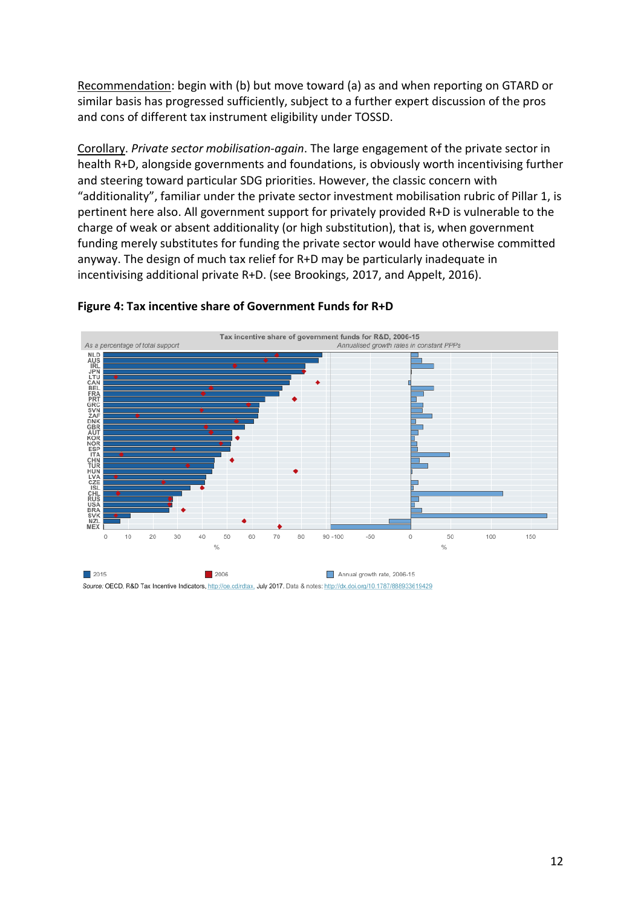Recommendation: begin with (b) but move toward (a) as and when reporting on GTARD or similar basis has progressed sufficiently, subject to a further expert discussion of the pros and cons of different tax instrument eligibility under TOSSD.

Corollary. *Private sector mobilisation-again*. The large engagement of the private sector in health R+D, alongside governments and foundations, is obviously worth incentivising further and steering toward particular SDG priorities. However, the classic concern with "additionality", familiar under the private sector investment mobilisation rubric of Pillar 1, is pertinent here also. All government support for privately provided R+D is vulnerable to the charge of weak or absent additionality (or high substitution), that is, when government funding merely substitutes for funding the private sector would have otherwise committed anyway. The design of much tax relief for R+D may be particularly inadequate in incentivising additional private R+D. (see Brookings, 2017, and Appelt, 2016).



#### **Figure 4: Tax incentive share of Government Funds for R+D**

Source: OECD, R&D Tax Incentive Indicators, http://oe.cd/rdtax, July 2017. Data & notes: http://dx.doi.org/10.1787/888933619429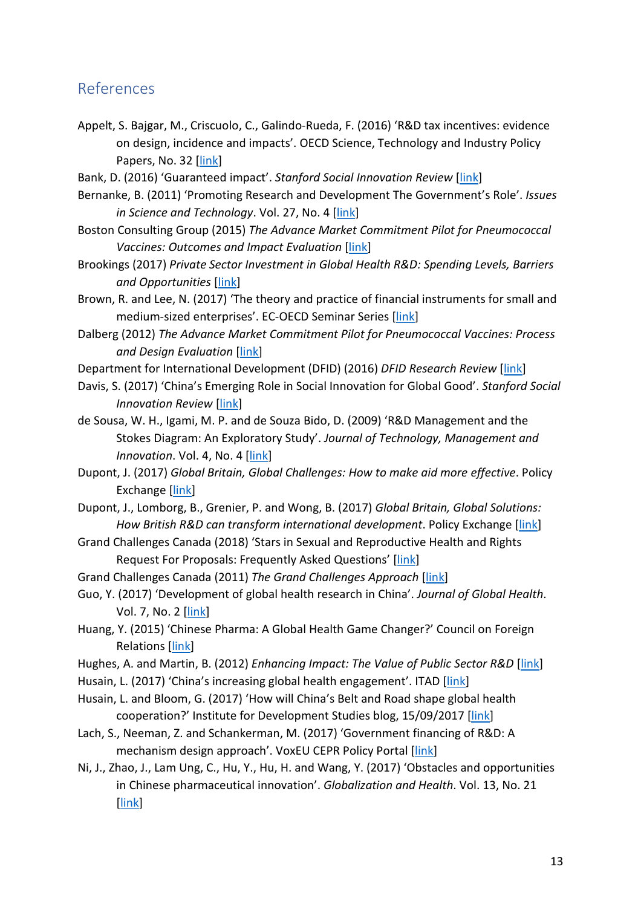### <span id="page-12-0"></span>References

- Appelt, S. Bajgar, M., Criscuolo, C., Galindo-Rueda, F. (2016) 'R&D tax incentives: evidence on design, incidence and impacts'. OECD Science, Technology and Industry Policy Papers, No. 32 [\[link\]](https://read.oecd-ilibrary.org/science-and-technology/r-d-tax-incentives-evidence-on-design-incidence-and-impacts_5jlr8fldqk7j-en#page1)
- Bank, D. (2016) 'Guaranteed impact'. *Stanford Social Innovation Review* [\[link\]](https://ssir.org/articles/entry/guaranteed_impact)
- Bernanke, B. (2011) 'Promoting Research and Development The Government's Role'. *Issues in Science and Technology*. Vol. 27, No. 4 [\[link\]](http://issues.org/27-4/bernanke/)
- Boston Consulting Group (2015) *The Advance Market Commitment Pilot for Pneumococcal Vaccines: Outcomes and Impact Evaluation* [\[link\]](https://www.gavi.org/results/evaluations/pneumococcal-amc-outcomes-and-impact-evaluation/)
- Brookings (2017) *Private Sector Investment in Global Health R&D: Spending Levels, Barriers and Opportunities* [\[link\]](https://www.brookings.edu/wp-content/uploads/2017/09/private-sector-investment-in-global-health-rd_final.pdf)
- Brown, R. and Lee, N. (2017) 'The theory and practice of financial instruments for small and medium-sized enterprises'. EC-OECD Seminar Series [\[link\]](https://www.oecd.org/cfe/regional-policy/Brown_When-to-use-financial-instruments.pdf)
- Dalberg (2012) *The Advance Market Commitment Pilot for Pneumococcal Vaccines: Process and Design Evaluation* [\[link\]](https://www.gavi.org/results/evaluations/pneumococcal-amc-process---design-evaluation/)

Department for International Development (DFID) (2016) *DFID Research Review* [\[link\]](https://assets.publishing.service.gov.uk/government/uploads/system/uploads/attachment_data/file/564075/Research-review4.pdf)

- Davis, S. (2017) 'China's Emerging Role in Social Innovation for Global Good'. *Stanford Social Innovation Review [\[link\]](https://ssir.org/articles/entry/chinas_emerging_role_in_social_innovation_for_global_good)*
- de Sousa, W. H., Igami, M. P. and de Souza Bido, D. (2009) 'R&D Management and the Stokes Diagram: An Exploratory Study'. *Journal of Technology, Management and Innovation.* Vol. 4, No. 4 [\[link\]](https://scielo.conicyt.cl/pdf/jotmi/v4n4/art08.pdf)
- Dupont, J. (2017) *Global Britain, Global Challenges: How to make aid more effective*. Policy Exchange [\[link\]](https://policyexchange.org.uk/wp-content/uploads/2017/07/Global-Britain-Global-Challenges-5th-July.pdf)
- Dupont, J., Lomborg, B., Grenier, P. and Wong, B. (2017) *Global Britain, Global Solutions: How British R&D can transform international development*. Policy Exchange [\[link\]](https://policyexchange.org.uk/wp-content/uploads/2017/11/Global-Britain.pdf)
- Grand Challenges Canada (2018) 'Stars in Sexual and Reproductive Health and Rights Request For Proposals: Frequently Asked Questions' [\[link\]](http://www.grandchallenges.ca/wp-content/uploads/2018/07/20180731-StarsR10-FAQ-EN.pdf)
- Grand Challenges Canada (2011) *The Grand Challenges Approach* [\[link\]](http://www.grandchallenges.ca/wp-content/uploads/2017/11/thegrandchallengesapproach.pdf)
- Guo, Y. (2017) 'Development of global health research in China'. *Journal of Global Health*. Vol. 7, No. 2 [\[link\]](https://www.ncbi.nlm.nih.gov/pmc/articles/PMC5735772/)
- Huang, Y. (2015) 'Chinese Pharma: A Global Health Game Changer?' Council on Foreign Relations [\[link\]](https://www.cfr.org/expert-brief/chinese-pharma-global-health-game-changer)
- Hughes, A. and Martin, B. (2012) *Enhancing Impact: The Value of Public Sector R&D* [\[link\]](https://www.cbr.cam.ac.uk/fileadmin/user_upload/centre-for-business-research/downloads/special-reports/specialreport-enhancingimpact.pdf)
- Husain, L. (2017) 'China's increasing global health engagement'. ITAD [\[link\]](http://itad.com/wp-content/uploads/2017/07/China%E2%80%99s-increasing-global-health-engagement-FINAL.pdf)
- Husain, L. and Bloom, G. (2017) 'How will China's Belt and Road shape global health cooperation?' Institute for Development Studies blog, 15/09/2017 [\[link\]](https://www.ids.ac.uk/opinion/how-will-china-s-belt-and-road-shape-global-health-cooperation)
- Lach, S., Neeman, Z. and Schankerman, M. (2017) 'Government financing of R&D: A mechanism design approach'. VoxEU CEPR Policy Portal [\[link\]](https://voxeu.org/article/government-financing-rd)
- Ni, J., Zhao, J., Lam Ung, C., Hu, Y., Hu, H. and Wang, Y. (2017) 'Obstacles and opportunities in Chinese pharmaceutical innovation'. *Globalization and Health*. Vol. 13, No. 21 [\[link\]](https://globalizationandhealth.biomedcentral.com/articles/10.1186/s12992-017-0244-6)